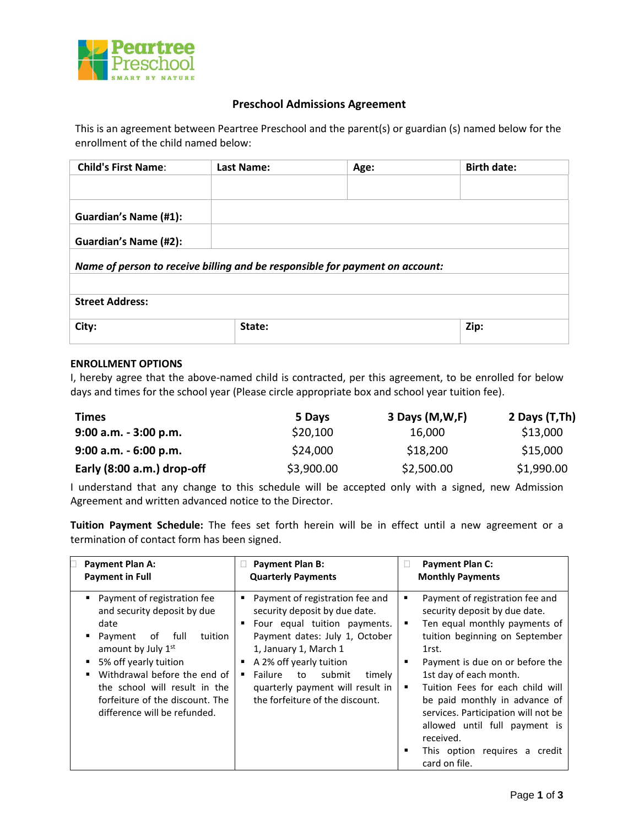

## **Preschool Admissions Agreement**

This is an agreement between Peartree Preschool and the parent(s) or guardian (s) named below for the enrollment of the child named below:

| <b>Child's First Name:</b>                                                   | Last Name: | Age: | <b>Birth date:</b> |  |  |
|------------------------------------------------------------------------------|------------|------|--------------------|--|--|
|                                                                              |            |      |                    |  |  |
| Guardian's Name (#1):                                                        |            |      |                    |  |  |
| Guardian's Name (#2):                                                        |            |      |                    |  |  |
| Name of person to receive billing and be responsible for payment on account: |            |      |                    |  |  |
|                                                                              |            |      |                    |  |  |
| <b>Street Address:</b>                                                       |            |      |                    |  |  |
| City:                                                                        | State:     |      | Zip:               |  |  |

## **ENROLLMENT OPTIONS**

I, hereby agree that the above-named child is contracted, per this agreement, to be enrolled for below days and times for the school year (Please circle appropriate box and school year tuition fee).

| <b>Times</b>               | 5 Days     | 3 Days (M,W,F) | 2 Days (T,Th) |
|----------------------------|------------|----------------|---------------|
| $9:00$ a.m. $-3:00$ p.m.   | \$20,100   | 16,000         | \$13,000      |
| $9:00$ a.m. $-6:00$ p.m.   | \$24,000   | \$18,200       | \$15,000      |
| Early (8:00 a.m.) drop-off | \$3,900.00 | \$2,500.00     | \$1,990.00    |

I understand that any change to this schedule will be accepted only with a signed, new Admission Agreement and written advanced notice to the Director.

**Tuition Payment Schedule:** The fees set forth herein will be in effect until a new agreement or a termination of contact form has been signed.

| Payment Plan A:<br><b>Payment in Full</b>                                                                                                                                                                                                                                                   | <b>Payment Plan B:</b><br>u<br><b>Quarterly Payments</b>                                                                                                                                                                                                                                                        | <b>Payment Plan C:</b><br><b>Monthly Payments</b>                                                                                                                                                                                                                                                                                                                                                                                              |
|---------------------------------------------------------------------------------------------------------------------------------------------------------------------------------------------------------------------------------------------------------------------------------------------|-----------------------------------------------------------------------------------------------------------------------------------------------------------------------------------------------------------------------------------------------------------------------------------------------------------------|------------------------------------------------------------------------------------------------------------------------------------------------------------------------------------------------------------------------------------------------------------------------------------------------------------------------------------------------------------------------------------------------------------------------------------------------|
| Payment of registration fee<br>and security deposit by due<br>date<br>full f<br>of<br>tuition<br>Payment<br>amount by July 1st<br>5% off yearly tuition<br>Withdrawal before the end of<br>the school will result in the<br>forfeiture of the discount. The<br>difference will be refunded. | Payment of registration fee and<br>٠<br>security deposit by due date.<br>Four equal tuition payments.<br>Payment dates: July 1, October<br>1, January 1, March 1<br>A 2% off yearly tuition<br>submit<br>Failure<br>to to<br>timely<br>٠<br>quarterly payment will result in<br>the forfeiture of the discount. | Payment of registration fee and<br>٠<br>security deposit by due date.<br>Ten equal monthly payments of<br>٠<br>tuition beginning on September<br>1rst.<br>Payment is due on or before the<br>п<br>1st day of each month.<br>Tuition Fees for each child will<br>٠<br>be paid monthly in advance of<br>services. Participation will not be<br>allowed until full payment is<br>received.<br>This option requires a credit<br>п<br>card on file. |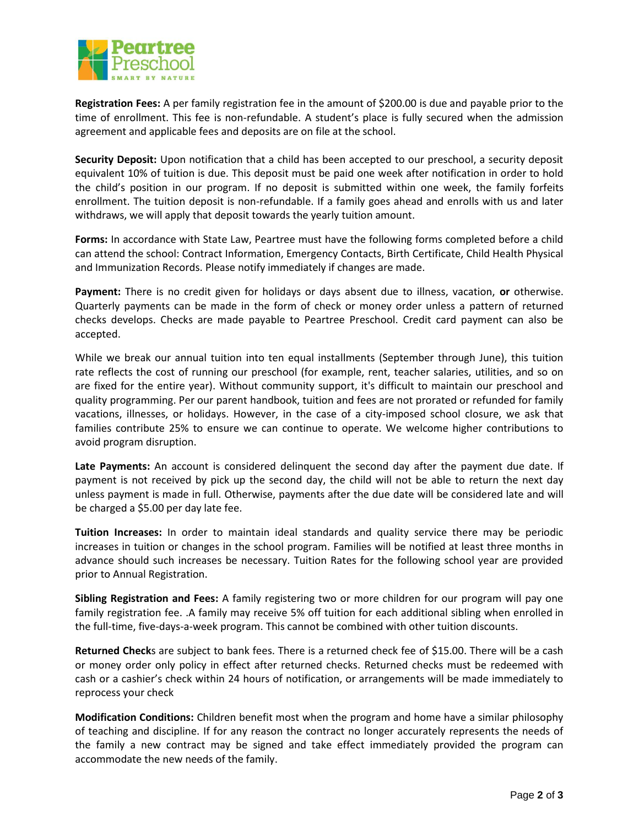

**Registration Fees:** A per family registration fee in the amount of \$200.00 is due and payable prior to the time of enrollment. This fee is non-refundable. A student's place is fully secured when the admission agreement and applicable fees and deposits are on file at the school.

**Security Deposit:** Upon notification that a child has been accepted to our preschool, a security deposit equivalent 10% of tuition is due. This deposit must be paid one week after notification in order to hold the child's position in our program. If no deposit is submitted within one week, the family forfeits enrollment. The tuition deposit is non-refundable. If a family goes ahead and enrolls with us and later withdraws, we will apply that deposit towards the yearly tuition amount.

**Forms:** In accordance with State Law, Peartree must have the following forms completed before a child can attend the school: Contract Information, Emergency Contacts, Birth Certificate, Child Health Physical and Immunization Records. Please notify immediately if changes are made.

**Payment:** There is no credit given for holidays or days absent due to illness, vacation, **or** otherwise. Quarterly payments can be made in the form of check or money order unless a pattern of returned checks develops. Checks are made payable to Peartree Preschool. Credit card payment can also be accepted.

While we break our annual tuition into ten equal installments (September through June), this tuition rate reflects the cost of running our preschool (for example, rent, teacher salaries, utilities, and so on are fixed for the entire year). Without community support, it's difficult to maintain our preschool and quality programming. Per our parent handbook, tuition and fees are not prorated or refunded for family vacations, illnesses, or holidays. However, in the case of a city-imposed school closure, we ask that families contribute 25% to ensure we can continue to operate. We welcome higher contributions to avoid program disruption.

**Late Payments:** An account is considered delinquent the second day after the payment due date. If payment is not received by pick up the second day, the child will not be able to return the next day unless payment is made in full. Otherwise, payments after the due date will be considered late and will be charged a \$5.00 per day late fee.

**Tuition Increases:** In order to maintain ideal standards and quality service there may be periodic increases in tuition or changes in the school program. Families will be notified at least three months in advance should such increases be necessary. Tuition Rates for the following school year are provided prior to Annual Registration.

**Sibling Registration and Fees:** A family registering two or more children for our program will pay one family registration fee. .A family may receive 5% off tuition for each additional sibling when enrolled in the full-time, five-days-a-week program. This cannot be combined with other tuition discounts.

**Returned Check**s are subject to bank fees. There is a returned check fee of \$15.00. There will be a cash or money order only policy in effect after returned checks. Returned checks must be redeemed with cash or a cashier's check within 24 hours of notification, or arrangements will be made immediately to reprocess your check

**Modification Conditions:** Children benefit most when the program and home have a similar philosophy of teaching and discipline. If for any reason the contract no longer accurately represents the needs of the family a new contract may be signed and take effect immediately provided the program can accommodate the new needs of the family.